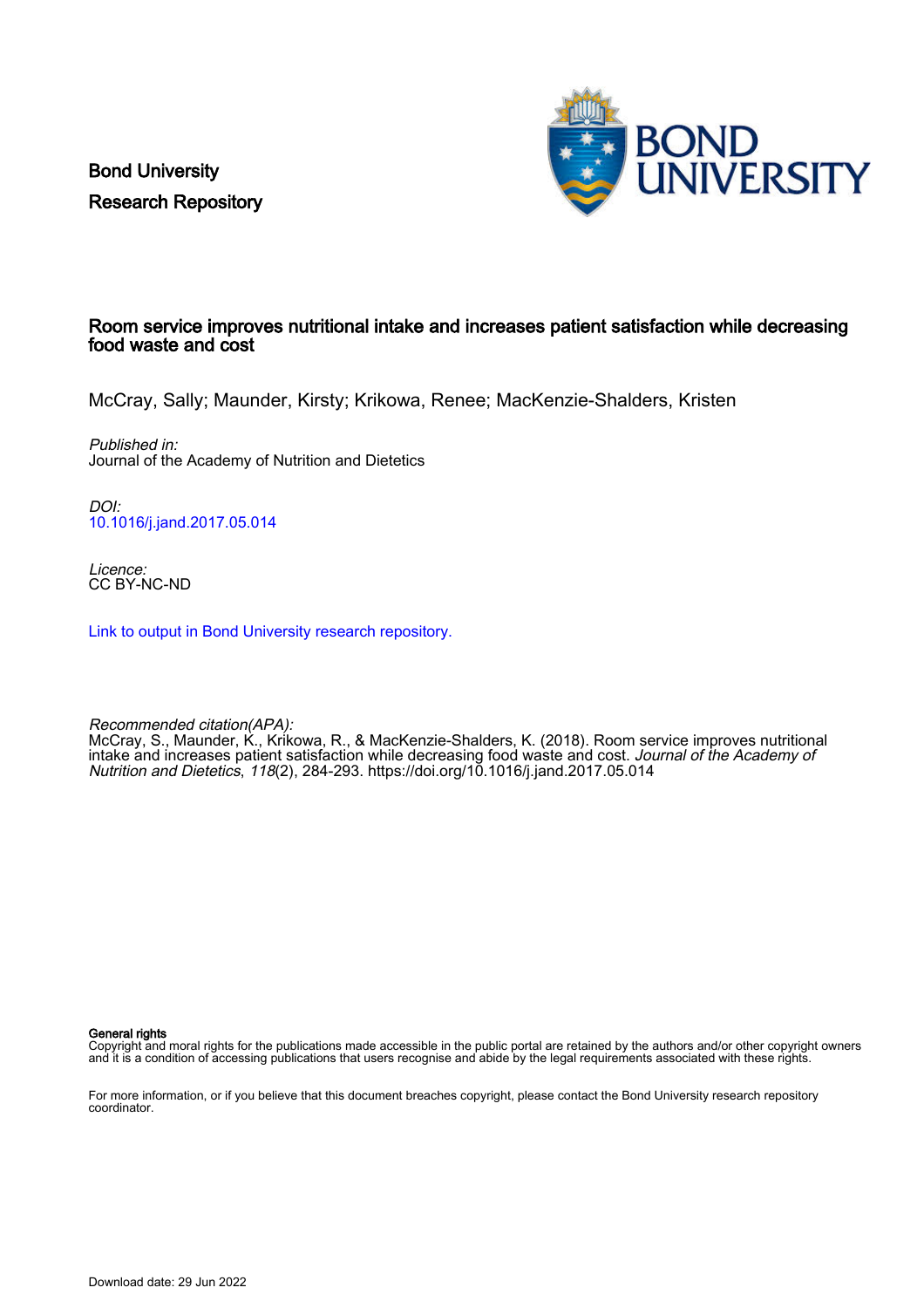Bond University Research Repository



### Room service improves nutritional intake and increases patient satisfaction while decreasing food waste and cost

McCray, Sally; Maunder, Kirsty; Krikowa, Renee; MacKenzie-Shalders, Kristen

Published in: Journal of the Academy of Nutrition and Dietetics

DOI: [10.1016/j.jand.2017.05.014](https://doi.org/10.1016/j.jand.2017.05.014)

Licence: CC BY-NC-ND

[Link to output in Bond University research repository.](https://research.bond.edu.au/en/publications/6811adf8-7637-4d69-b027-61c189e0a6d5)

Recommended citation(APA):

McCray, S., Maunder, K., Krikowa, R., & MacKenzie-Shalders, K. (2018). Room service improves nutritional intake and increases patient satisfaction while decreasing food waste and cost. Journal of the Academy of Nutrition and Dietetics, 118(2), 284-293. <https://doi.org/10.1016/j.jand.2017.05.014>

General rights

Copyright and moral rights for the publications made accessible in the public portal are retained by the authors and/or other copyright owners and it is a condition of accessing publications that users recognise and abide by the legal requirements associated with these rights.

For more information, or if you believe that this document breaches copyright, please contact the Bond University research repository coordinator.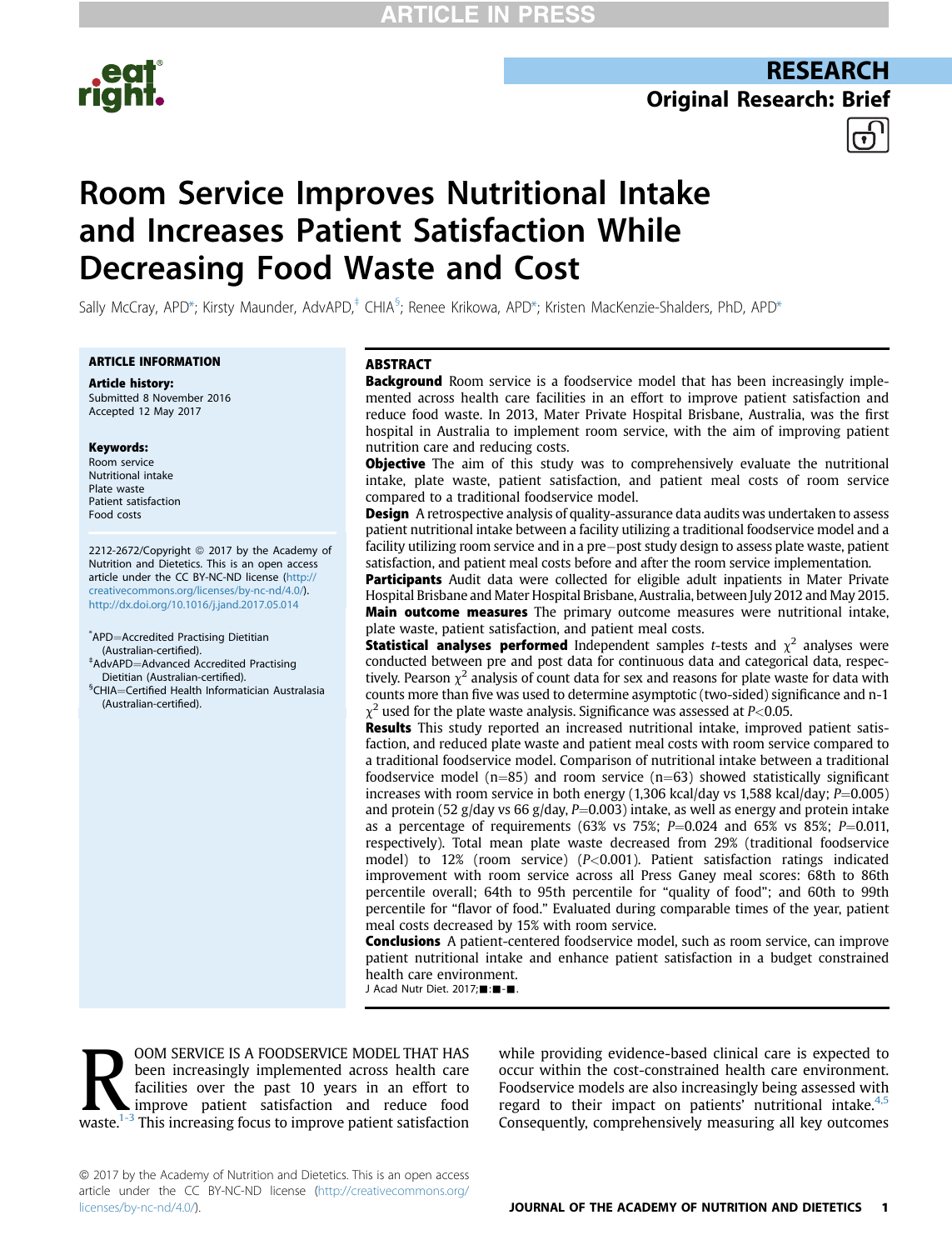

**RESEARCH**<br>Original Research: Brief



# Room Service Improves Nutritional Intake and Increases Patient Satisfaction While Decreasing Food Waste and Cost

Sally McCray, APD\*; Kirsty Maunder, AdvAPD,<sup>‡</sup> CHIA<sup>§</sup>; Renee Krikowa, APD\*; Kristen MacKenzie-Shalders, PhD, APD\*

#### ARTICLE INFORMATION

Article history: Submitted 8 November 2016 Accepted 12 May 2017

#### Keywords:

Room service Nutritional intake Plate waste Patient satisfaction Food costs

2212-2672/Copyright © 2017 by the Academy of Nutrition and Dietetics. This is an open access article under the CC BY-NC-ND license (http:// creativecommons.org/licenses/by-nc-nd/4.0/). http://dx.doi.org/10.1016/j.jand.2017.05.014

- \*APD=Accredited Practising Dietitian (Australian-certified). ‡
- <sup>‡</sup>AdvAPD=Advanced Accredited Practising<br>Dietitian (Australian-certified).
- Dietitian (Australian-certified).<br><sup>§</sup>CHIA=Certified Health Informatician Australasia (Australian-certified).

#### ABSTRACT

**Background** Room service is a foodservice model that has been increasingly implemented across health care facilities in an effort to improve patient satisfaction and reduce food waste. In 2013, Mater Private Hospital Brisbane, Australia, was the first hospital in Australia to implement room service, with the aim of improving patient nutrition care and reducing costs.

**Objective** The aim of this study was to comprehensively evaluate the nutritional intake, plate waste, patient satisfaction, and patient meal costs of room service compared to a traditional foodservice model.

**Design** A retrospective analysis of quality-assurance data audits was undertaken to assess patient nutritional intake between a facility utilizing a traditional foodservice model and a facility utilizing room service and in a pre-post study design to assess plate waste, patient satisfaction, and patient meal costs before and after the room service implementation.

**Participants** Audit data were collected for eligible adult inpatients in Mater Private Hospital Brisbane and Mater Hospital Brisbane, Australia, between July 2012 and May 2015. **Main outcome measures** The primary outcome measures were nutritional intake, plate waste, patient satisfaction, and patient meal costs.

**Statistical analyses performed** Independent samples *t*-tests and  $\chi^2$  analyses were conducted between pre and post data for continuous data and categorical data, respectively. Pearson  $\chi^2$  analysis of count data for sex and reasons for plate waste for data with counts more than five was used to determine asymptotic (two-sided) significance and n-1  $\chi^2$  used for the plate waste analysis. Significance was assessed at P<0.05.

Results This study reported an increased nutritional intake, improved patient satisfaction, and reduced plate waste and patient meal costs with room service compared to a traditional foodservice model. Comparison of nutritional intake between a traditional foodservice model (n=85) and room service (n=63) showed statistically significant increases with room service in both energy (1,306 kcal/day vs 1,588 kcal/day;  $P=0.005$ ) and protein (52 g/day vs 66 g/day,  $P=0.003$ ) intake, as well as energy and protein intake as a percentage of requirements (63% vs 75%;  $P=0.024$  and 65% vs 85%;  $P=0.011$ , respectively). Total mean plate waste decreased from 29% (traditional foodservice model) to 12% (room service) (P<0.001). Patient satisfaction ratings indicated improvement with room service across all Press Ganey meal scores: 68th to 86th percentile overall; 64th to 95th percentile for "quality of food"; and 60th to 99th percentile for "flavor of food." Evaluated during comparable times of the year, patient meal costs decreased by 15% with room service.

**Conclusions** A patient-centered foodservice model, such as room service, can improve patient nutritional intake and enhance patient satisfaction in a budget constrained health care environment.

J Acad Nutr Diet. 2017; :: -

**EXECUTE IS A FOODSERVICE MODEL THAT HAS**<br>been increasingly implemented across health care<br>facilities over the past 10 years in an effort to<br>improve patient satisfaction and reduce food<br>waste.<sup>1-3</sup> This increasing focus to been increasingly implemented across health care facilities over the past 10 years in an effort to improve patient satisfaction and reduce food

while providing evidence-based clinical care is expected to occur within the cost-constrained health care environment. Foodservice models are also increasingly being assessed with regard to their impact on patients' nutritional intake. $4.5$ Consequently, comprehensively measuring all key outcomes

ª 2017 by the Academy of Nutrition and Dietetics. This is an open access article under the CC BY-NC-ND license (http://creativecommons.org/ licenses/by-nc-nd/4.0/). **JOURNAL OF THE ACADEMY OF NUTRITION AND DIETETICS 1**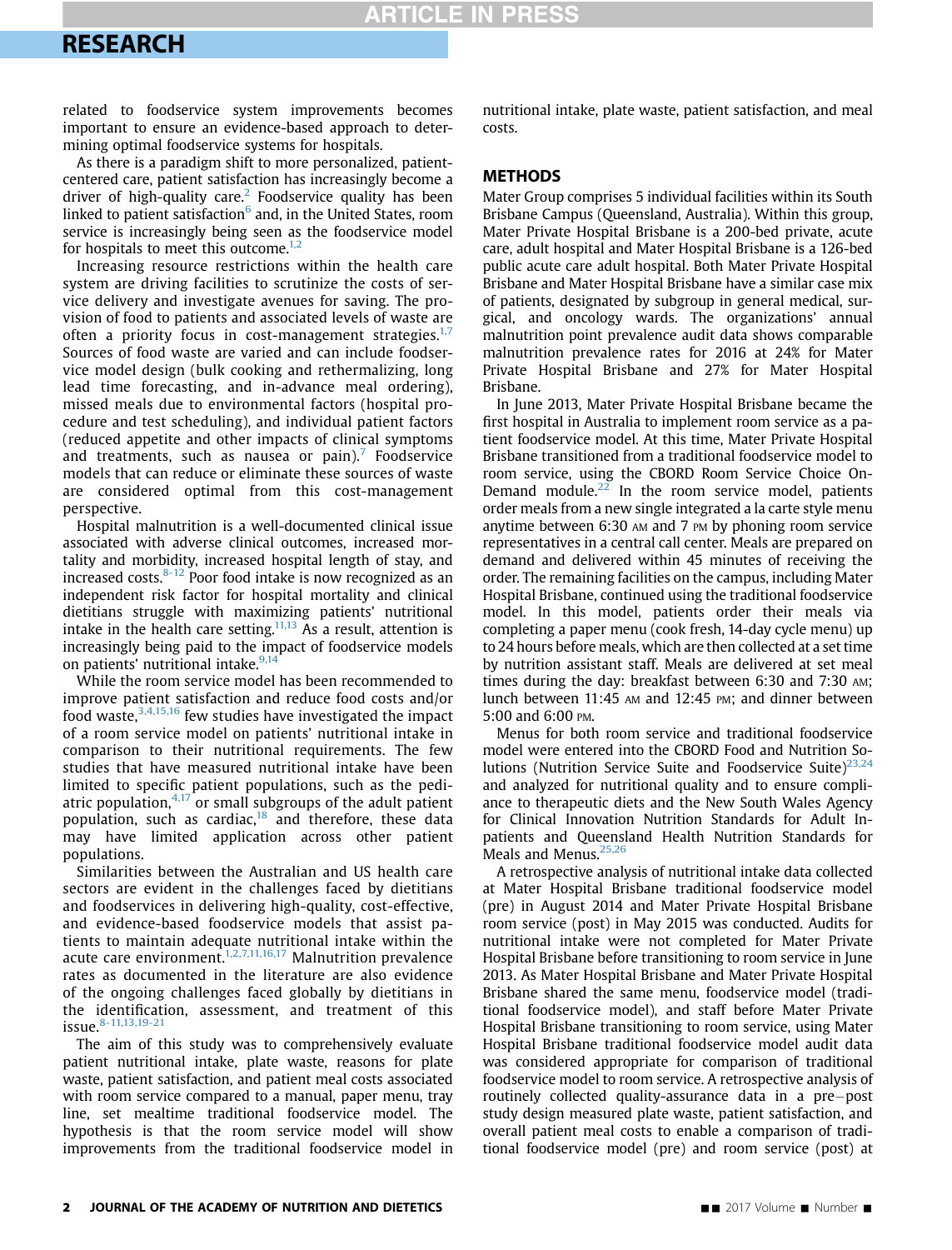### **ARTICLE IN PRESS**

### **RESEARCH** <u>research</u>

related to foodservice system improvements becomes important to ensure an evidence-based approach to determining optimal foodservice systems for hospitals.

As there is a paradigm shift to more personalized, patientcentered care, patient satisfaction has increasingly become a driver of high-quality care.<sup>2</sup> Foodservice quality has been linked to patient satisfaction $6$  and, in the United States, room service is increasingly being seen as the foodservice model for hospitals to meet this outcome. $1,2$ 

Increasing resource restrictions within the health care system are driving facilities to scrutinize the costs of service delivery and investigate avenues for saving. The provision of food to patients and associated levels of waste are often a priority focus in cost-management strategies. $\frac{1}{2}$ Sources of food waste are varied and can include foodservice model design (bulk cooking and rethermalizing, long lead time forecasting, and in-advance meal ordering), missed meals due to environmental factors (hospital procedure and test scheduling), and individual patient factors (reduced appetite and other impacts of clinical symptoms and treatments, such as nausea or  $\pi$  pain).<sup>7</sup> Foodservice models that can reduce or eliminate these sources of waste are considered optimal from this cost-management perspective.

Hospital malnutrition is a well-documented clinical issue associated with adverse clinical outcomes, increased mortality and morbidity, increased hospital length of stay, and increased costs. $8-12$  Poor food intake is now recognized as an independent risk factor for hospital mortality and clinical dietitians struggle with maximizing patients' nutritional intake in the health care setting. $11,13$  As a result, attention is increasingly being paid to the impact of foodservice models on patients' nutritional intake.<sup>9,14</sup>

While the room service model has been recommended to improve patient satisfaction and reduce food costs and/or food waste, $3,4,15,16$  few studies have investigated the impact of a room service model on patients' nutritional intake in comparison to their nutritional requirements. The few studies that have measured nutritional intake have been limited to specific patient populations, such as the pediatric population, $4.17$  or small subgroups of the adult patient population, such as cardiac, $18$  and therefore, these data may have limited application across other patient populations.

Similarities between the Australian and US health care sectors are evident in the challenges faced by dietitians and foodservices in delivering high-quality, cost-effective, and evidence-based foodservice models that assist patients to maintain adequate nutritional intake within the acute care environment.<sup>1,2,7,11,16,17</sup> Malnutrition prevalence rates as documented in the literature are also evidence of the ongoing challenges faced globally by dietitians in the identification, assessment, and treatment of this issue.8-11,13,19-21

The aim of this study was to comprehensively evaluate patient nutritional intake, plate waste, reasons for plate waste, patient satisfaction, and patient meal costs associated with room service compared to a manual, paper menu, tray line, set mealtime traditional foodservice model. The hypothesis is that the room service model will show improvements from the traditional foodservice model in

nutritional intake, plate waste, patient satisfaction, and meal costs.

#### **METHODS**

Mater Group comprises 5 individual facilities within its South Brisbane Campus (Queensland, Australia). Within this group, Mater Private Hospital Brisbane is a 200-bed private, acute care, adult hospital and Mater Hospital Brisbane is a 126-bed public acute care adult hospital. Both Mater Private Hospital Brisbane and Mater Hospital Brisbane have a similar case mix of patients, designated by subgroup in general medical, surgical, and oncology wards. The organizations' annual malnutrition point prevalence audit data shows comparable malnutrition prevalence rates for 2016 at 24% for Mater Private Hospital Brisbane and 27% for Mater Hospital Brisbane.

In June 2013, Mater Private Hospital Brisbane became the first hospital in Australia to implement room service as a patient foodservice model. At this time, Mater Private Hospital Brisbane transitioned from a traditional foodservice model to room service, using the CBORD Room Service Choice On-Demand module. $22$  In the room service model, patients order meals from a new single integrated a la carte style menu anytime between 6:30 AM and 7 PM by phoning room service representatives in a central call center. Meals are prepared on demand and delivered within 45 minutes of receiving the order. The remaining facilities on the campus, including Mater Hospital Brisbane, continued using the traditional foodservice model. In this model, patients order their meals via completing a paper menu (cook fresh, 14-day cycle menu) up to 24 hours before meals, which are then collected at a set time by nutrition assistant staff. Meals are delivered at set meal times during the day: breakfast between 6:30 and 7:30 AM; lunch between 11:45 AM and 12:45 PM; and dinner between 5:00 and 6:00 PM.

Menus for both room service and traditional foodservice model were entered into the CBORD Food and Nutrition Solutions (Nutrition Service Suite and Foodservice Suite) $23,24$ and analyzed for nutritional quality and to ensure compliance to therapeutic diets and the New South Wales Agency for Clinical Innovation Nutrition Standards for Adult Inpatients and Queensland Health Nutrition Standards for Meals and Menus.<sup>25,26</sup>

A retrospective analysis of nutritional intake data collected at Mater Hospital Brisbane traditional foodservice model (pre) in August 2014 and Mater Private Hospital Brisbane room service (post) in May 2015 was conducted. Audits for nutritional intake were not completed for Mater Private Hospital Brisbane before transitioning to room service in June 2013. As Mater Hospital Brisbane and Mater Private Hospital Brisbane shared the same menu, foodservice model (traditional foodservice model), and staff before Mater Private Hospital Brisbane transitioning to room service, using Mater Hospital Brisbane traditional foodservice model audit data was considered appropriate for comparison of traditional foodservice model to room service. A retrospective analysis of routinely collected quality-assurance data in a pre-post study design measured plate waste, patient satisfaction, and overall patient meal costs to enable a comparison of traditional foodservice model (pre) and room service (post) at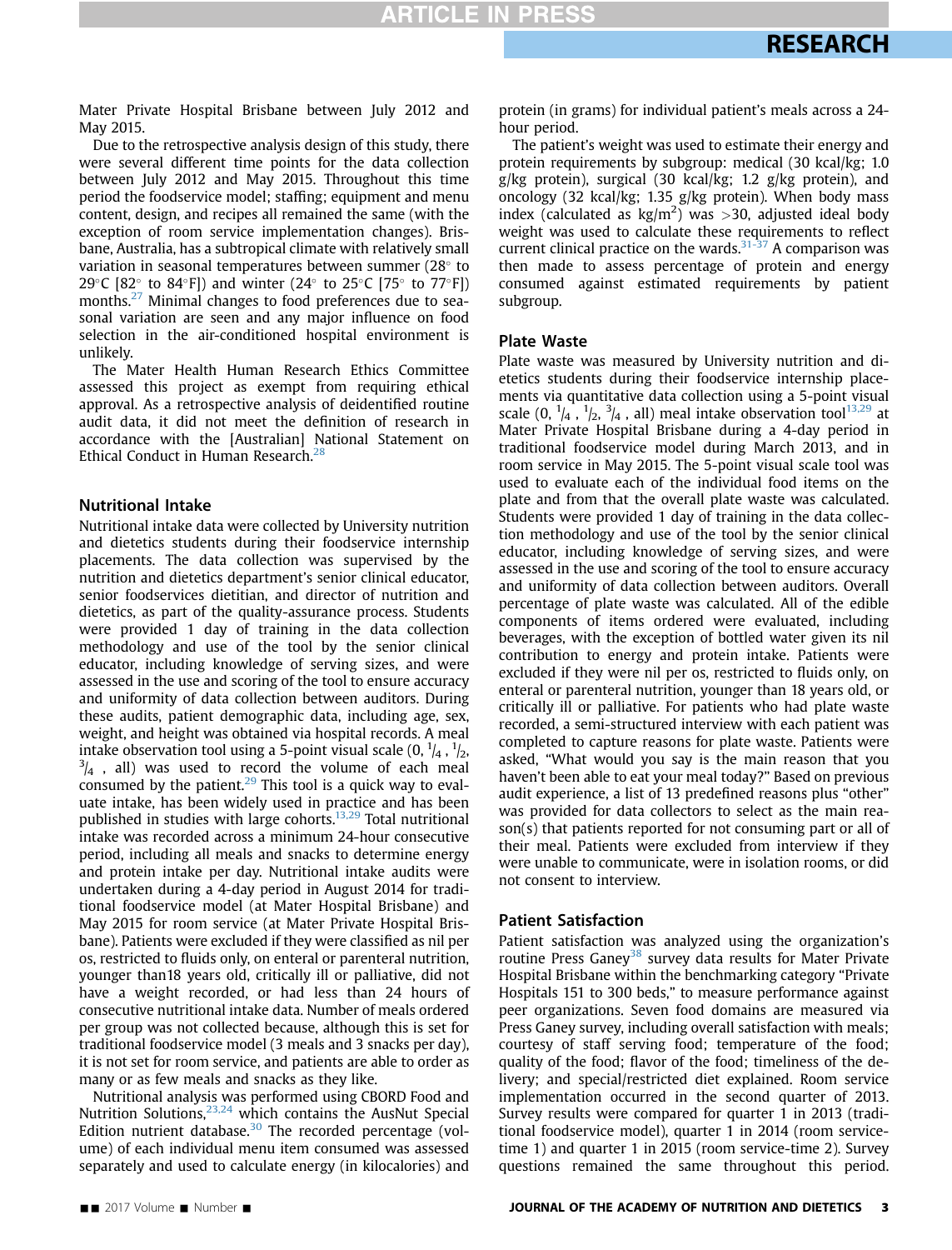Mater Private Hospital Brisbane between July 2012 and May 2015.

Due to the retrospective analysis design of this study, there were several different time points for the data collection between July 2012 and May 2015. Throughout this time period the foodservice model; staffing; equipment and menu content, design, and recipes all remained the same (with the exception of room service implementation changes). Brisbane, Australia, has a subtropical climate with relatively small variation in seasonal temperatures between summer  $(28<sup>°</sup>$  to 29 °C [82 $\degree$  to 84 $\degree$ F]) and winter (24 $\degree$  to 25 $\degree$ C [75 $\degree$  to 77 $\degree$ F]) months.27 Minimal changes to food preferences due to seasonal variation are seen and any major influence on food selection in the air-conditioned hospital environment is unlikely.

The Mater Health Human Research Ethics Committee assessed this project as exempt from requiring ethical approval. As a retrospective analysis of deidentified routine audit data, it did not meet the definition of research in accordance with the [Australian] National Statement on Ethical Conduct in Human Research.<sup>28</sup>

#### Nutritional Intake

Nutritional intake data were collected by University nutrition and dietetics students during their foodservice internship placements. The data collection was supervised by the nutrition and dietetics department's senior clinical educator, senior foodservices dietitian, and director of nutrition and dietetics, as part of the quality-assurance process. Students were provided 1 day of training in the data collection methodology and use of the tool by the senior clinical educator, including knowledge of serving sizes, and were assessed in the use and scoring of the tool to ensure accuracy and uniformity of data collection between auditors. During these audits, patient demographic data, including age, sex, weight, and height was obtained via hospital records. A meal intake observation tool using a 5-point visual scale  $(0, \frac{1}{4}, \frac{1}{2}, \frac{1}{2})$  $^{3}/_{4}$ , all) was used to record the volume of each meal consumed by the patient. $29$  This tool is a quick way to evaluate intake, has been widely used in practice and has been published in studies with large cohorts.<sup>13,29</sup> Total nutritional intake was recorded across a minimum 24-hour consecutive period, including all meals and snacks to determine energy and protein intake per day. Nutritional intake audits were undertaken during a 4-day period in August 2014 for traditional foodservice model (at Mater Hospital Brisbane) and May 2015 for room service (at Mater Private Hospital Brisbane). Patients were excluded if they were classified as nil per os, restricted to fluids only, on enteral or parenteral nutrition, younger than18 years old, critically ill or palliative, did not have a weight recorded, or had less than 24 hours of consecutive nutritional intake data. Number of meals ordered per group was not collected because, although this is set for traditional foodservice model (3 meals and 3 snacks per day), it is not set for room service, and patients are able to order as many or as few meals and snacks as they like.

Nutritional analysis was performed using CBORD Food and Nutrition Solutions, $^{23,24}$  which contains the AusNut Special Edition nutrient database.<sup>30</sup> The recorded percentage (volume) of each individual menu item consumed was assessed separately and used to calculate energy (in kilocalories) and protein (in grams) for individual patient's meals across a 24 hour period.

The patient's weight was used to estimate their energy and protein requirements by subgroup: medical (30 kcal/kg; 1.0 g/kg protein), surgical (30 kcal/kg; 1.2 g/kg protein), and oncology (32 kcal/kg; 1.35 g/kg protein). When body mass index (calculated as  $\text{kg/m}^2$ ) was >30, adjusted ideal body weight was used to calculate these requirements to reflect current clinical practice on the wards. $31-37$  A comparison was then made to assess percentage of protein and energy consumed against estimated requirements by patient subgroup.

#### Plate Waste

Plate waste was measured by University nutrition and dietetics students during their foodservice internship placements via quantitative data collection using a 5-point visual scale  $(0, \frac{1}{4}, \frac{1}{2}, \frac{3}{4}$ , all) meal intake observation tool<sup>13,29</sup> at Mater Private Hospital Brisbane during a 4-day period in traditional foodservice model during March 2013, and in room service in May 2015. The 5-point visual scale tool was used to evaluate each of the individual food items on the plate and from that the overall plate waste was calculated. Students were provided 1 day of training in the data collection methodology and use of the tool by the senior clinical educator, including knowledge of serving sizes, and were assessed in the use and scoring of the tool to ensure accuracy and uniformity of data collection between auditors. Overall percentage of plate waste was calculated. All of the edible components of items ordered were evaluated, including beverages, with the exception of bottled water given its nil contribution to energy and protein intake. Patients were excluded if they were nil per os, restricted to fluids only, on enteral or parenteral nutrition, younger than 18 years old, or critically ill or palliative. For patients who had plate waste recorded, a semi-structured interview with each patient was completed to capture reasons for plate waste. Patients were asked, "What would you say is the main reason that you haven't been able to eat your meal today?" Based on previous audit experience, a list of 13 predefined reasons plus "other" was provided for data collectors to select as the main reason(s) that patients reported for not consuming part or all of their meal. Patients were excluded from interview if they were unable to communicate, were in isolation rooms, or did not consent to interview.

#### Patient Satisfaction

Patient satisfaction was analyzed using the organization's routine Press Ganey<sup>38</sup> survey data results for Mater Private Hospital Brisbane within the benchmarking category "Private Hospitals 151 to 300 beds," to measure performance against peer organizations. Seven food domains are measured via Press Ganey survey, including overall satisfaction with meals; courtesy of staff serving food; temperature of the food; quality of the food; flavor of the food; timeliness of the delivery; and special/restricted diet explained. Room service implementation occurred in the second quarter of 2013. Survey results were compared for quarter 1 in 2013 (traditional foodservice model), quarter 1 in 2014 (room servicetime 1) and quarter 1 in 2015 (room service-time 2). Survey questions remained the same throughout this period.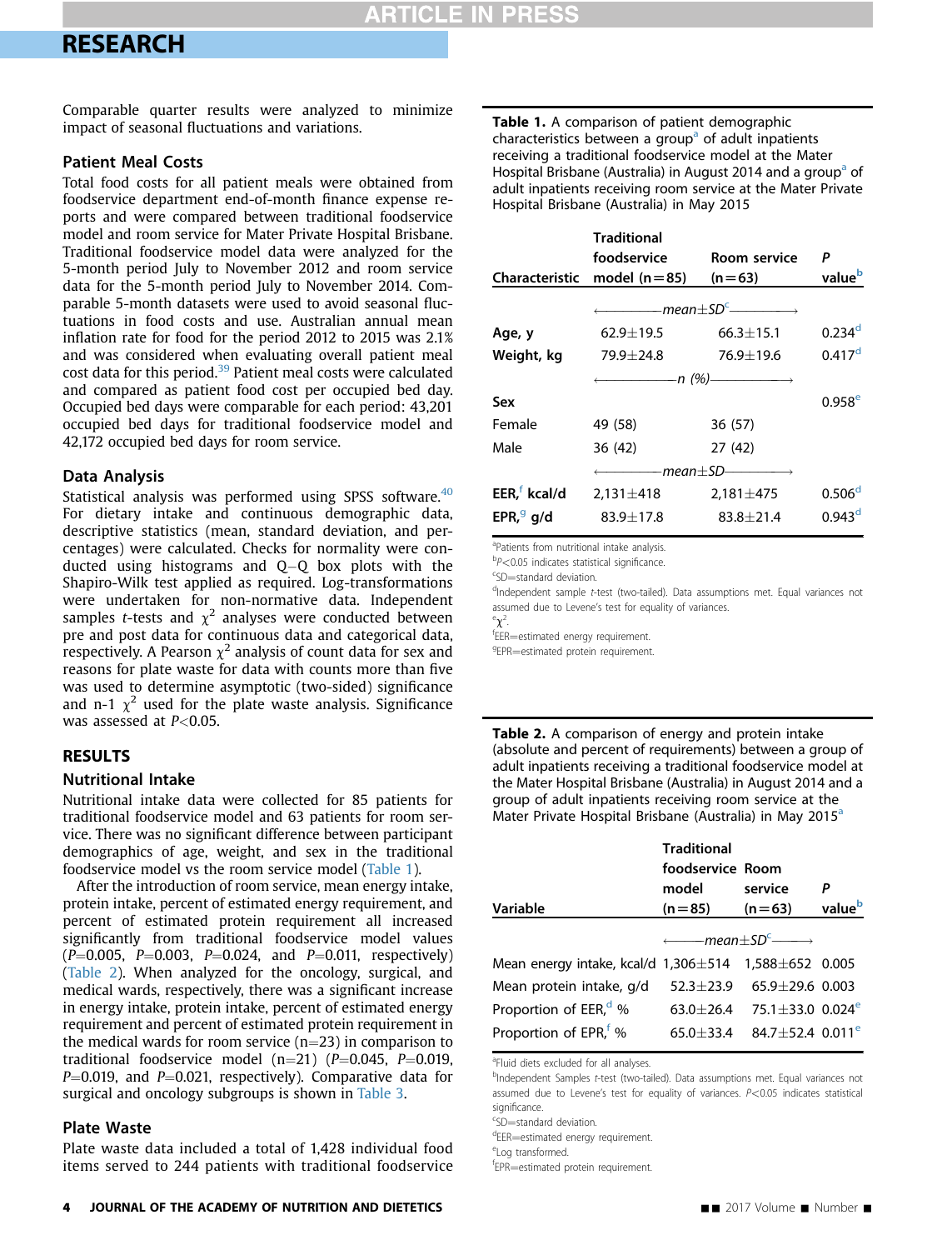### **RESEARCH** <u>research</u>

Comparable quarter results were analyzed to minimize impact of seasonal fluctuations and variations.

#### Patient Meal Costs

Total food costs for all patient meals were obtained from foodservice department end-of-month finance expense reports and were compared between traditional foodservice model and room service for Mater Private Hospital Brisbane. Traditional foodservice model data were analyzed for the 5-month period July to November 2012 and room service data for the 5-month period July to November 2014. Comparable 5-month datasets were used to avoid seasonal fluctuations in food costs and use. Australian annual mean inflation rate for food for the period 2012 to 2015 was 2.1% and was considered when evaluating overall patient meal cost data for this period.<sup>39</sup> Patient meal costs were calculated and compared as patient food cost per occupied bed day. Occupied bed days were comparable for each period: 43,201 occupied bed days for traditional foodservice model and 42,172 occupied bed days for room service.

#### Data Analysis

Statistical analysis was performed using SPSS software.<sup>40</sup> For dietary intake and continuous demographic data, descriptive statistics (mean, standard deviation, and percentages) were calculated. Checks for normality were conducted using histograms and Q-Q box plots with the Shapiro-Wilk test applied as required. Log-transformations were undertaken for non-normative data. Independent samples *t*-tests and  $\chi^2$  analyses were conducted between pre and post data for continuous data and categorical data, respectively. A Pearson  $\chi^2$  analysis of count data for sex and reasons for plate waste for data with counts more than five was used to determine asymptotic (two-sided) significance and n-1  $\chi^2$  used for the plate waste analysis. Significance was assessed at  $P<0.05$ .

#### **RESULTS**

## Nutritional Intake

Nutritional intake data were collected for 85 patients for traditional foodservice model and 63 patients for room service. There was no significant difference between participant demographics of age, weight, and sex in the traditional foodservice model vs the room service model (Table 1).

After the introduction of room service, mean energy intake, protein intake, percent of estimated energy requirement, and percent of estimated protein requirement all increased significantly from traditional foodservice model values  $(P=0.005, P=0.003, P=0.024, and P=0.011, respectively)$ (Table 2). When analyzed for the oncology, surgical, and medical wards, respectively, there was a significant increase in energy intake, protein intake, percent of estimated energy requirement and percent of estimated protein requirement in the medical wards for room service  $(n=23)$  in comparison to traditional foodservice model  $(n=21)$  (P=0.045, P=0.019,  $P=0.019$ , and  $P=0.021$ , respectively). Comparative data for surgical and oncology subgroups is shown in Table 3.

#### Plate Waste

Plate waste data included a total of 1,428 individual food items served to 244 patients with traditional foodservice

Table 1. A comparison of patient demographic characteristics between a group<sup> $a$ </sup> of adult inpatients receiving a traditional foodservice model at the Mater Hospital Brisbane (Australia) in August 2014 and a group<sup>a</sup> of adult inpatients receiving room service at the Mater Private Hospital Brisbane (Australia) in May 2015

| <b>Characteristic</b>    | Traditional<br>foodservice<br>model $(n=85)$                  | Room service<br>$(n=63)$ | P<br>value <sup>b</sup> |
|--------------------------|---------------------------------------------------------------|--------------------------|-------------------------|
|                          | $\longleftarrow$ mean $\pm$ SD <sup>c</sup> $\longrightarrow$ |                          |                         |
| Age, y                   | $62.9 + 19.5$                                                 | $66.3 \pm 15.1$          | 0.234 <sup>d</sup>      |
| Weight, kg               | $79.9 + 24.8$                                                 | $76.9 + 19.6$            | $0.417^d$               |
|                          | $\longleftarrow$ n (%) $\longrightarrow$                      |                          |                         |
| Sex                      |                                                               |                          | 0.958 <sup>e</sup>      |
| Female                   | 49 (58)                                                       | 36 (57)                  |                         |
| Male                     | 36 (42)                                                       | 27(42)                   |                         |
|                          | -mean+SD                                                      |                          |                         |
| EER, <sup>f</sup> kcal/d | $2,131 \pm 418$                                               | $2,181 \pm 475$          | 0.506 <sup>d</sup>      |
| $EPR, g$ q/d             | $83.9 + 17.8$                                                 | $83.8 + 21.4$            | 0.943 <sup>d</sup>      |

<sup>a</sup>Patients from nutritional intake analysis.

bp<0.05 indicates statistical significance.

<sup>c</sup>SD=standard deviation.<br><sup>d</sup>independent sample t-

<sup>d</sup>Independent sample t-test (two-tailed). Data assumptions met. Equal variances not assumed due to Levene's test for equality of variances.

 ${}^{\rm e}\chi^2$ .

fEER=estimated energy requirement.<br>genn-ostimated protein requirement

<sup>9</sup>FPR=estimated protein requirement.

Table 2. A comparison of energy and protein intake (absolute and percent of requirements) between a group of adult inpatients receiving a traditional foodservice model at the Mater Hospital Brisbane (Australia) in August 2014 and a group of adult inpatients receiving room service at the Mater Private Hospital Brisbane (Australia) in May 2015<sup>a</sup>

|                                            | <b>Traditional</b>                                        |                              |        |
|--------------------------------------------|-----------------------------------------------------------|------------------------------|--------|
|                                            | foodservice Room                                          |                              |        |
|                                            | model                                                     | service                      | Р      |
| Variable                                   | $(n=85)$                                                  | $(n=63)$                     | valueb |
|                                            | $\longleftarrow$ mean + SD <sup>c</sup> $\longrightarrow$ |                              |        |
| Mean energy intake, kcal/d $1,306 \pm 514$ |                                                           | $1,588 \pm 652$ 0.005        |        |
| Mean protein intake, g/d                   | $52.3 + 23.9$                                             | $65.9 + 29.6$ 0.003          |        |
| Proportion of EER, <sup>d</sup> %          | $63.0 + 26.4$                                             | 75.1+33.0 $0.024^e$          |        |
| Proportion of EPR, %                       | $65.0 + 33.4$                                             | 84.7+52.4 0.011 <sup>e</sup> |        |

<sup>a</sup>Fluid diets excluded for all analyses.

**b**Independent Samples t-test (two-tailed). Data assumptions met. Equal variances not assumed due to Levene's test for equality of variances.  $P < 0.05$  indicates statistical significance.

<sup>c</sup>SD=standard deviation.<br><sup>d</sup>EER-estimated energy

dEER=estimated energy requirement.

<sup>e</sup>Log transformed.

fEPR=estimated protein requirement.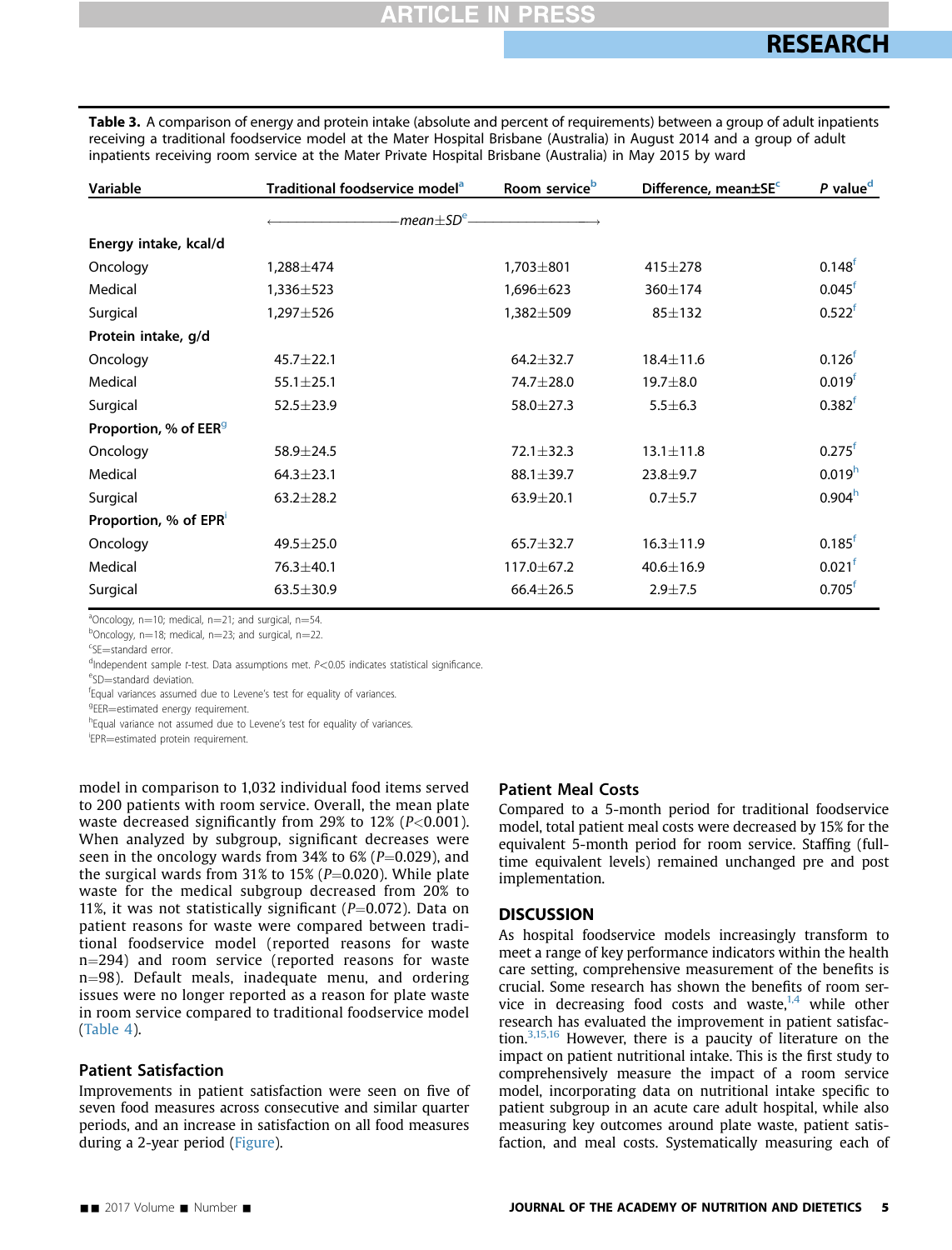### **RTICLE IN PRES**

Table 3. A comparison of energy and protein intake (absolute and percent of requirements) between a group of adult inpatients receiving a traditional foodservice model at the Mater Hospital Brisbane (Australia) in August 2014 and a group of adult inpatients receiving room service at the Mater Private Hospital Brisbane (Australia) in May 2015 by ward

| receiving a traditional foodservice model at the Mater Hospital Brisbane (Australia) in August 2014 and a group of adult<br>inpatients receiving room service at the Mater Private Hospital Brisbane (Australia) in May 2015 by ward |                                            |                                                   |                                  |                      |  |  |
|--------------------------------------------------------------------------------------------------------------------------------------------------------------------------------------------------------------------------------------|--------------------------------------------|---------------------------------------------------|----------------------------------|----------------------|--|--|
| Variable                                                                                                                                                                                                                             | Traditional foodservice model <sup>a</sup> | Room service <sup>b</sup>                         | Difference, mean±SE <sup>c</sup> | P value <sup>d</sup> |  |  |
|                                                                                                                                                                                                                                      |                                            | $-mean \pm SD^\mathrm{e}$ . The contract of $\pm$ |                                  |                      |  |  |
| Energy intake, kcal/d                                                                                                                                                                                                                |                                            |                                                   |                                  |                      |  |  |
| Oncology                                                                                                                                                                                                                             | 1,288±474                                  | 1,703±801                                         | $415 + 278$                      | $0.148$ <sup>t</sup> |  |  |
| Medical                                                                                                                                                                                                                              | 1,336±523                                  | $1.696 \pm 623$                                   | 360±174                          | $0.045$ <sup>t</sup> |  |  |
| Surgical                                                                                                                                                                                                                             | 1,297±526                                  | $1,382 \pm 509$                                   | $85 + 132$                       | $0.522^{t}$          |  |  |
| Protein intake, g/d                                                                                                                                                                                                                  |                                            |                                                   |                                  |                      |  |  |
| Oncology                                                                                                                                                                                                                             | $45.7 \pm 22.1$                            | $64.2 \pm 32.7$                                   | $18.4 \pm 11.6$                  | $0.126^{t}$          |  |  |
| Medical                                                                                                                                                                                                                              | $55.1 \pm 25.1$                            | 74.7±28.0                                         | $19.7 + 8.0$                     | 0.019 <sup>t</sup>   |  |  |
| Surgical                                                                                                                                                                                                                             | $52.5 \pm 23.9$                            | 58.0 $\pm$ 27.3                                   | $5.5 \pm 6.3$                    | $0.382^{t}$          |  |  |
| Proportion, % of EER <sup>9</sup>                                                                                                                                                                                                    |                                            |                                                   |                                  |                      |  |  |
| Oncology                                                                                                                                                                                                                             | $58.9 \pm 24.5$                            | $72.1 \pm 32.3$                                   | $13.1 \pm 11.8$                  | $0.275$ <sup>t</sup> |  |  |
| Medical                                                                                                                                                                                                                              | $64.3 \pm 23.1$                            | $88.1 \pm 39.7$                                   | $23.8 + 9.7$                     | 0.019 <sup>h</sup>   |  |  |
| Surgical                                                                                                                                                                                                                             | $63.2 \pm 28.2$                            | $63.9 \pm 20.1$                                   | $0.7 + 5.7$                      | 0.904 <sup>h</sup>   |  |  |
| Proportion, % of EPR                                                                                                                                                                                                                 |                                            |                                                   |                                  |                      |  |  |
| Oncology                                                                                                                                                                                                                             | $49.5 \pm 25.0$                            | $65.7 \pm 32.7$                                   | $16.3 \pm 11.9$                  | $0.185$ <sup>t</sup> |  |  |
| Medical                                                                                                                                                                                                                              | $76.3 \pm 40.1$                            | 117.0 $\pm$ 67.2                                  | $40.6 \pm 16.9$                  | $0.021$ <sup>f</sup> |  |  |
| Surgical                                                                                                                                                                                                                             | $63.5 \pm 30.9$                            | $66.4 \pm 26.5$                                   | $2.9 \pm 7.5$                    | $0.705$ <sup>t</sup> |  |  |

a Oncology, n=10; medical, n=21; and surgical, n=54. b<br>b Oncology, n=18; medical, n=23; and surgical, n=22

 $b$ Oncology, n=18; medical, n=23; and surgical, n=22.

<sup>c</sup>SE=standard error.

 $d$ Independent sample t-test. Data assumptions met.  $P<0.05$  indicates statistical significance.

<sup>e</sup>SD=standard deviation.<br><sup>f</sup>Equal variances assumer

Equal variances assumed due to Levene's test for equality of variances.

<sup>g</sup>EER=estimated energy requirement.

hEqual variance not assumed due to Levene's test for equality of variances.

i EPR=estimated protein requirement.

model in comparison to 1,032 individual food items served to 200 patients with room service. Overall, the mean plate waste decreased significantly from 29% to  $12% (P<0.001)$ . When analyzed by subgroup, significant decreases were seen in the oncology wards from  $34\%$  to  $6\%$  ( $P=0.029$ ), and the surgical wards from 31% to 15% ( $P=0.020$ ). While plate waste for the medical subgroup decreased from 20% to 11%, it was not statistically significant ( $P=0.072$ ). Data on patient reasons for waste were compared between traditional foodservice model (reported reasons for waste n=294) and room service (reported reasons for waste  $n=98$ ). Default meals, inadequate menu, and ordering issues were no longer reported as a reason for plate waste in room service compared to traditional foodservice model (Table 4).

#### Patient Satisfaction

Improvements in patient satisfaction were seen on five of seven food measures across consecutive and similar quarter periods, and an increase in satisfaction on all food measures during a 2-year period (Figure).

### Patient Meal Costs

Compared to a 5-month period for traditional foodservice model, total patient meal costs were decreased by 15% for the equivalent 5-month period for room service. Staffing (fulltime equivalent levels) remained unchanged pre and post implementation.

#### **DISCUSSION**

DISCUSSION As hospital foodservice models increasingly transform to meet a range of key performance indicators within the health care setting, comprehensive measurement of the benefits is crucial. Some research has shown the benefits of room service in decreasing food costs and waste, $1.4$  while other research has evaluated the improvement in patient satisfaction. $3,15,16$  However, there is a paucity of literature on the impact on patient nutritional intake. This is the first study to comprehensively measure the impact of a room service model, incorporating data on nutritional intake specific to patient subgroup in an acute care adult hospital, while also measuring key outcomes around plate waste, patient satisfaction, and meal costs. Systematically measuring each of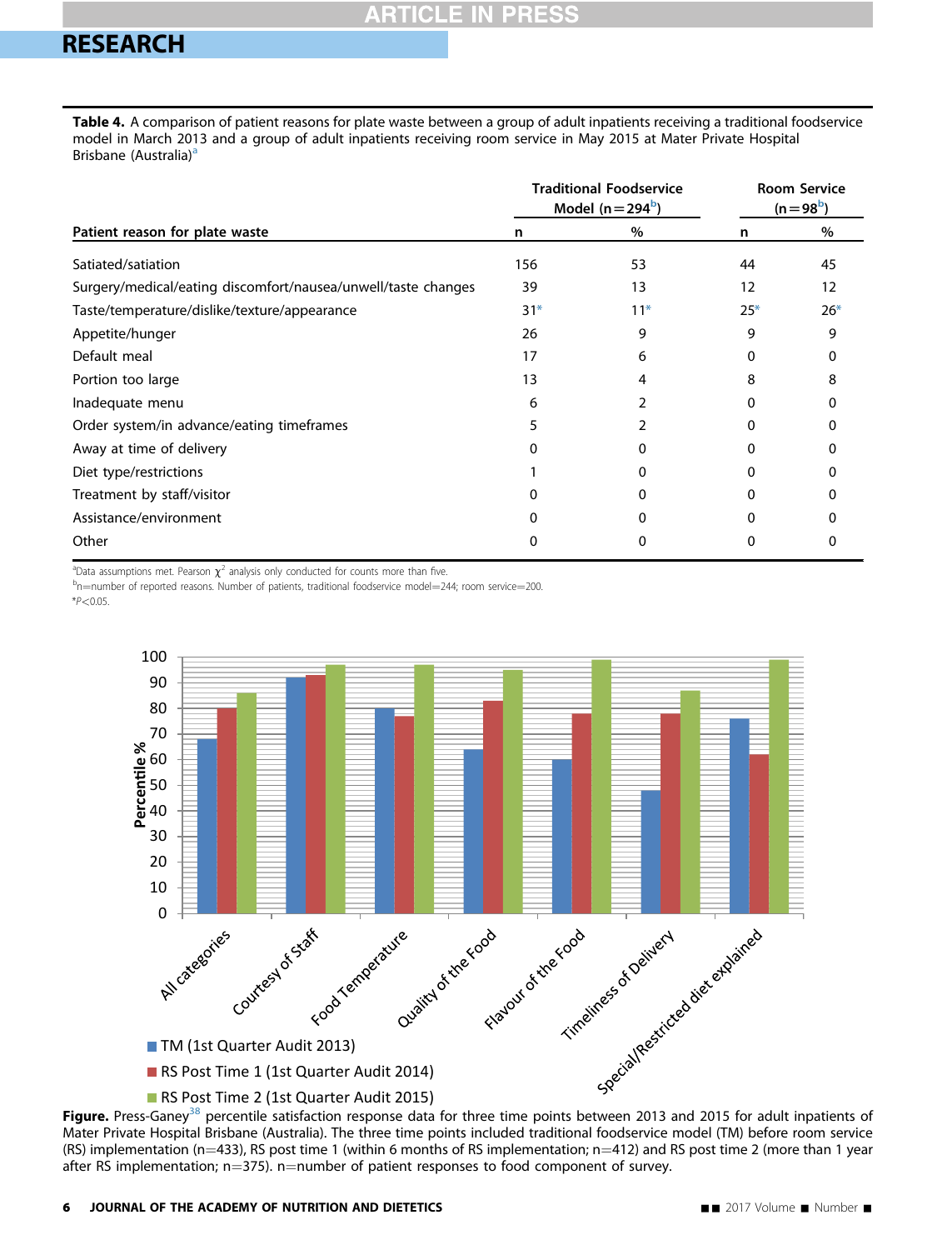### **ARTICLE IN PRESS**

### **RESEARCH** <u>research</u>

Table 4. A comparison of patient reasons for plate waste between a group of adult inpatients receiving a traditional foodservice model in March 2013 and a group of adult inpatients receiving room service in May 2015 at Mater Private Hospital Brisbane (Australia)<sup>a</sup>

|                                                               | <b>Traditional Foodservice</b><br>Model $(n=294^b)$ |       | <b>Room Service</b><br>$(n=98^b)$ |       |
|---------------------------------------------------------------|-----------------------------------------------------|-------|-----------------------------------|-------|
| Patient reason for plate waste                                | n                                                   | $\%$  | n                                 | $\%$  |
| Satiated/satiation                                            | 156                                                 | 53    | 44                                | 45    |
| Surgery/medical/eating discomfort/nausea/unwell/taste changes | 39                                                  | 13    | 12                                | 12    |
| Taste/temperature/dislike/texture/appearance                  | $31*$                                               | $11*$ | $25*$                             | $26*$ |
| Appetite/hunger                                               | 26                                                  | 9     | 9                                 | q     |
| Default meal                                                  | 17                                                  | 6     | 0                                 |       |
| Portion too large                                             | 13                                                  |       | 8                                 | 8     |
| Inadequate menu                                               | 6                                                   |       |                                   |       |
| Order system/in advance/eating timeframes                     |                                                     |       |                                   |       |
| Away at time of delivery                                      |                                                     |       |                                   |       |
| Diet type/restrictions                                        |                                                     |       |                                   |       |
| Treatment by staff/visitor                                    |                                                     |       |                                   |       |
| Assistance/environment                                        | O                                                   |       |                                   |       |
| Other                                                         | 0                                                   | 0     | 0                                 |       |

<sup>a</sup>Data assumptions met. Pearson  $\chi^2$  analysis only conducted for counts more than five.

 $^{\rm b}$ n $=$ number of reported reasons. Number of patients, traditional foodservice model $=$ 244; room service $=$ 200.  $*P<0.05$ .



Mater Private Hospital Brisbane (Australia). The three time points included traditional foodservice model (TM) before room service (RS) implementation (n=433), RS post time 1 (within 6 months of RS implementation; n=412) and RS post time 2 (more than 1 year after RS implementation;  $n=375$ ). n=number of patient responses to food component of survey.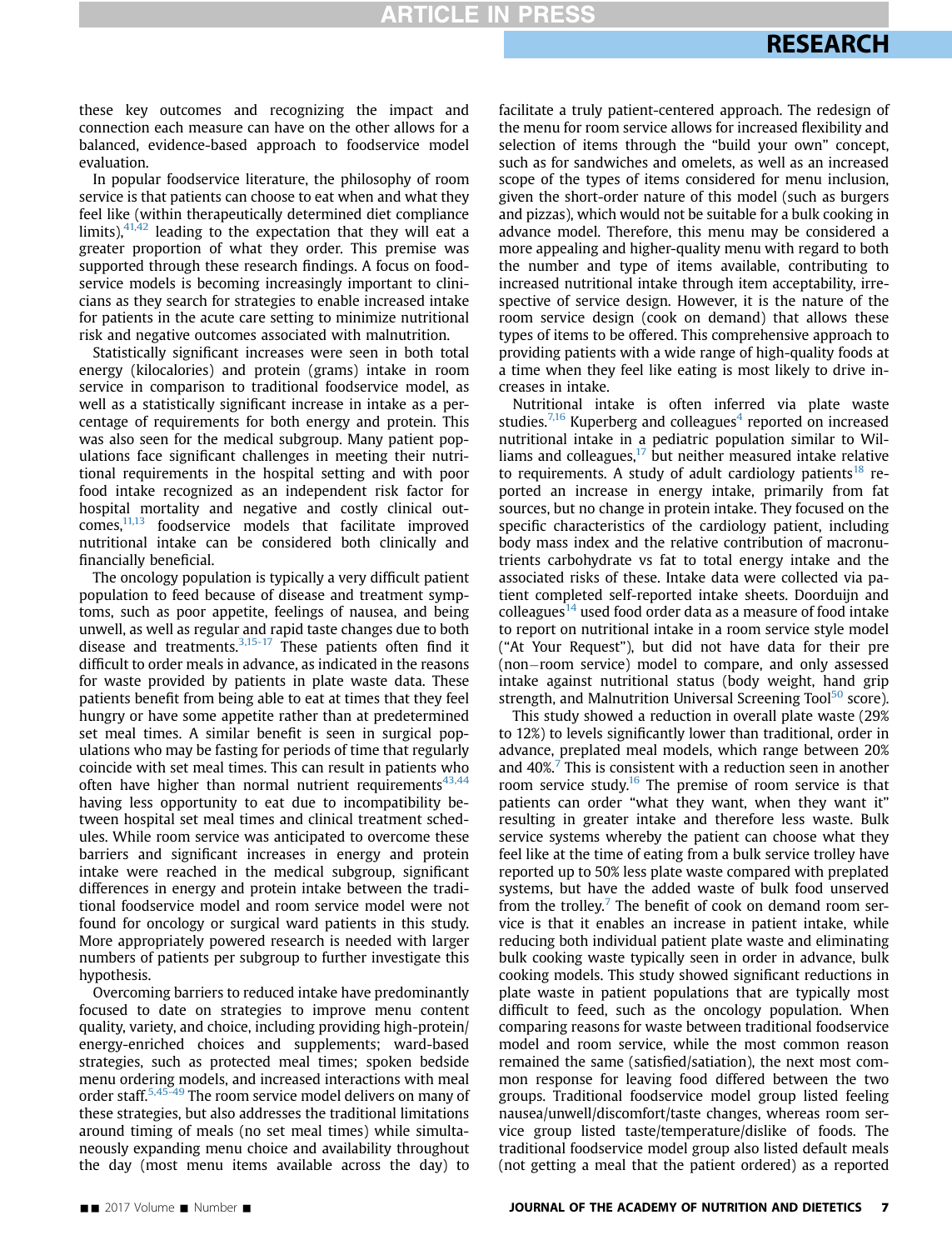these key outcomes and recognizing the impact and connection each measure can have on the other allows for a balanced, evidence-based approach to foodservice model evaluation.

In popular foodservice literature, the philosophy of room service is that patients can choose to eat when and what they feel like (within therapeutically determined diet compliance limits), $41,42$  leading to the expectation that they will eat a greater proportion of what they order. This premise was supported through these research findings. A focus on foodservice models is becoming increasingly important to clinicians as they search for strategies to enable increased intake for patients in the acute care setting to minimize nutritional risk and negative outcomes associated with malnutrition.

Statistically significant increases were seen in both total energy (kilocalories) and protein (grams) intake in room service in comparison to traditional foodservice model, as well as a statistically significant increase in intake as a percentage of requirements for both energy and protein. This was also seen for the medical subgroup. Many patient populations face significant challenges in meeting their nutritional requirements in the hospital setting and with poor food intake recognized as an independent risk factor for hospital mortality and negative and costly clinical outcomes, $11,13$  foodservice models that facilitate improved nutritional intake can be considered both clinically and financially beneficial.

The oncology population is typically a very difficult patient population to feed because of disease and treatment symptoms, such as poor appetite, feelings of nausea, and being unwell, as well as regular and rapid taste changes due to both disease and treatments. $3,15-17$  These patients often find it difficult to order meals in advance, as indicated in the reasons for waste provided by patients in plate waste data. These patients benefit from being able to eat at times that they feel hungry or have some appetite rather than at predetermined set meal times. A similar benefit is seen in surgical populations who may be fasting for periods of time that regularly coincide with set meal times. This can result in patients who often have higher than normal nutrient requirements<sup>43,44</sup> having less opportunity to eat due to incompatibility between hospital set meal times and clinical treatment schedules. While room service was anticipated to overcome these barriers and significant increases in energy and protein intake were reached in the medical subgroup, significant differences in energy and protein intake between the traditional foodservice model and room service model were not found for oncology or surgical ward patients in this study. More appropriately powered research is needed with larger numbers of patients per subgroup to further investigate this hypothesis.

Overcoming barriers to reduced intake have predominantly focused to date on strategies to improve menu content quality, variety, and choice, including providing high-protein/ energy-enriched choices and supplements; ward-based strategies, such as protected meal times; spoken bedside menu ordering models, and increased interactions with meal order staff.<sup>5,45-49</sup> The room service model delivers on many of these strategies, but also addresses the traditional limitations around timing of meals (no set meal times) while simultaneously expanding menu choice and availability throughout the day (most menu items available across the day) to

facilitate a truly patient-centered approach. The redesign of the menu for room service allows for increased flexibility and selection of items through the "build your own" concept, such as for sandwiches and omelets, as well as an increased scope of the types of items considered for menu inclusion, given the short-order nature of this model (such as burgers and pizzas), which would not be suitable for a bulk cooking in advance model. Therefore, this menu may be considered a more appealing and higher-quality menu with regard to both the number and type of items available, contributing to increased nutritional intake through item acceptability, irrespective of service design. However, it is the nature of the room service design (cook on demand) that allows these types of items to be offered. This comprehensive approach to providing patients with a wide range of high-quality foods at a time when they feel like eating is most likely to drive increases in intake.

Nutritional intake is often inferred via plate waste studies. $7,16$  Kuperberg and colleagues<sup>4</sup> reported on increased nutritional intake in a pediatric population similar to Williams and colleagues, $17$  but neither measured intake relative to requirements. A study of adult cardiology patients<sup>18</sup> reported an increase in energy intake, primarily from fat sources, but no change in protein intake. They focused on the specific characteristics of the cardiology patient, including body mass index and the relative contribution of macronutrients carbohydrate vs fat to total energy intake and the associated risks of these. Intake data were collected via patient completed self-reported intake sheets. Doorduijn and  $\text{colleaves}^{14}$  used food order data as a measure of food intake to report on nutritional intake in a room service style model ("At Your Request"), but did not have data for their pre (non-room service) model to compare, and only assessed intake against nutritional status (body weight, hand grip strength, and Malnutrition Universal Screening Tool<sup>50</sup> score).

This study showed a reduction in overall plate waste (29% to 12%) to levels significantly lower than traditional, order in advance, preplated meal models, which range between 20% and 40%.<sup>7</sup> This is consistent with a reduction seen in another room service study.<sup>16</sup> The premise of room service is that patients can order "what they want, when they want it" resulting in greater intake and therefore less waste. Bulk service systems whereby the patient can choose what they feel like at the time of eating from a bulk service trolley have reported up to 50% less plate waste compared with preplated systems, but have the added waste of bulk food unserved from the trolley.<sup>7</sup> The benefit of cook on demand room service is that it enables an increase in patient intake, while reducing both individual patient plate waste and eliminating bulk cooking waste typically seen in order in advance, bulk cooking models. This study showed significant reductions in plate waste in patient populations that are typically most difficult to feed, such as the oncology population. When comparing reasons for waste between traditional foodservice model and room service, while the most common reason remained the same (satisfied/satiation), the next most common response for leaving food differed between the two groups. Traditional foodservice model group listed feeling nausea/unwell/discomfort/taste changes, whereas room service group listed taste/temperature/dislike of foods. The traditional foodservice model group also listed default meals (not getting a meal that the patient ordered) as a reported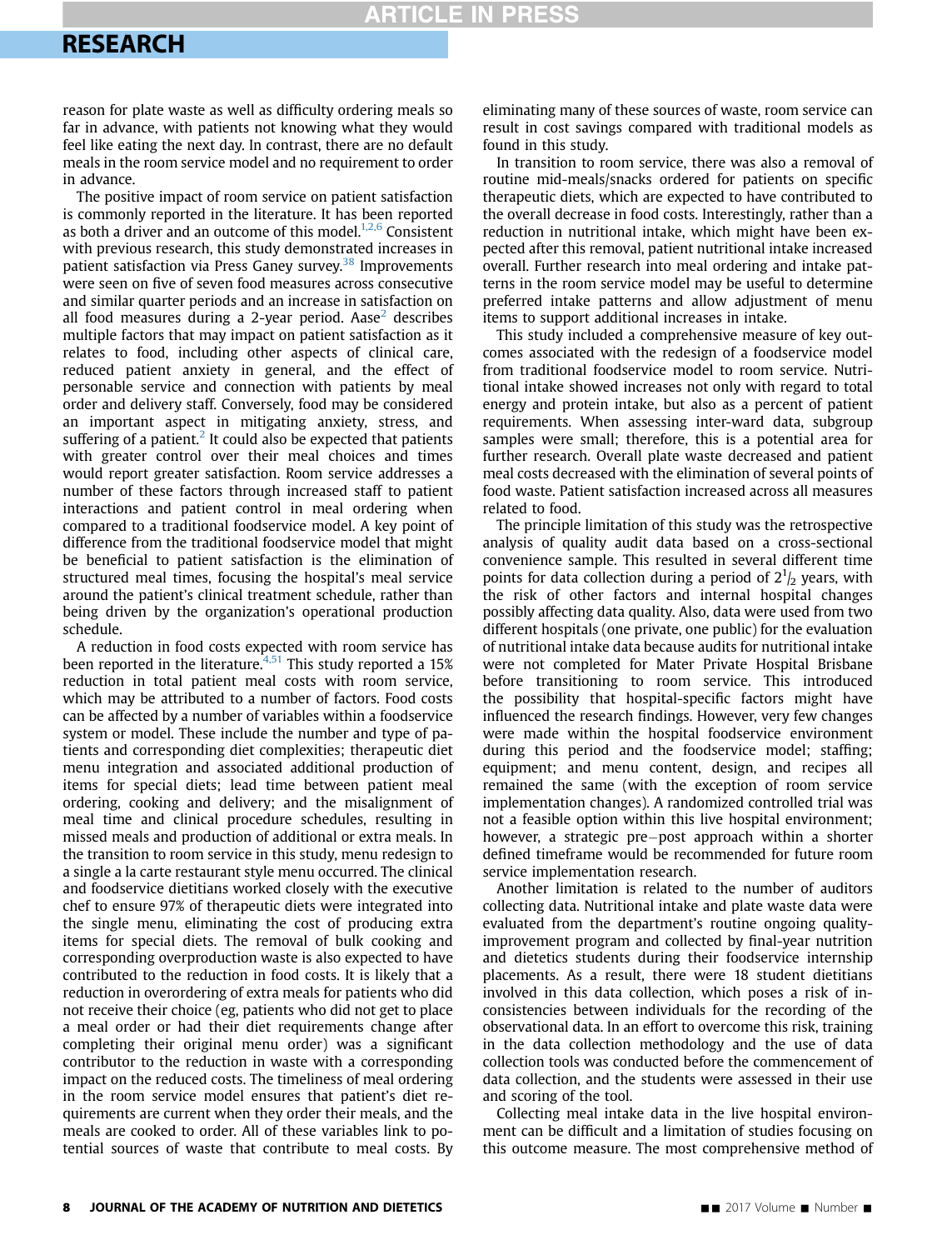### **RTICLE IN PRESS**

### **RESEARCH** <u>research</u>

reason for plate waste as well as difficulty ordering meals so far in advance, with patients not knowing what they would feel like eating the next day. In contrast, there are no default meals in the room service model and no requirement to order in advance.

The positive impact of room service on patient satisfaction is commonly reported in the literature. It has been reported as both a driver and an outcome of this model. $1,2,6$  Consistent with previous research, this study demonstrated increases in patient satisfaction via Press Ganey survey.<sup>38</sup> Improvements were seen on five of seven food measures across consecutive and similar quarter periods and an increase in satisfaction on all food measures during a 2-year period. Aase<sup>2</sup> describes multiple factors that may impact on patient satisfaction as it relates to food, including other aspects of clinical care, reduced patient anxiety in general, and the effect of personable service and connection with patients by meal order and delivery staff. Conversely, food may be considered an important aspect in mitigating anxiety, stress, and suffering of a patient.<sup>2</sup> It could also be expected that patients with greater control over their meal choices and times would report greater satisfaction. Room service addresses a number of these factors through increased staff to patient interactions and patient control in meal ordering when compared to a traditional foodservice model. A key point of difference from the traditional foodservice model that might be beneficial to patient satisfaction is the elimination of structured meal times, focusing the hospital's meal service around the patient's clinical treatment schedule, rather than being driven by the organization's operational production schedule.

A reduction in food costs expected with room service has been reported in the literature. $4,51$  This study reported a 15% reduction in total patient meal costs with room service, which may be attributed to a number of factors. Food costs can be affected by a number of variables within a foodservice system or model. These include the number and type of patients and corresponding diet complexities; therapeutic diet menu integration and associated additional production of items for special diets; lead time between patient meal ordering, cooking and delivery; and the misalignment of meal time and clinical procedure schedules, resulting in missed meals and production of additional or extra meals. In the transition to room service in this study, menu redesign to a single a la carte restaurant style menu occurred. The clinical and foodservice dietitians worked closely with the executive chef to ensure 97% of therapeutic diets were integrated into the single menu, eliminating the cost of producing extra items for special diets. The removal of bulk cooking and corresponding overproduction waste is also expected to have contributed to the reduction in food costs. It is likely that a reduction in overordering of extra meals for patients who did not receive their choice (eg, patients who did not get to place a meal order or had their diet requirements change after completing their original menu order) was a significant contributor to the reduction in waste with a corresponding impact on the reduced costs. The timeliness of meal ordering in the room service model ensures that patient's diet requirements are current when they order their meals, and the meals are cooked to order. All of these variables link to potential sources of waste that contribute to meal costs. By

eliminating many of these sources of waste, room service can result in cost savings compared with traditional models as found in this study.

In transition to room service, there was also a removal of routine mid-meals/snacks ordered for patients on specific therapeutic diets, which are expected to have contributed to the overall decrease in food costs. Interestingly, rather than a reduction in nutritional intake, which might have been expected after this removal, patient nutritional intake increased overall. Further research into meal ordering and intake patterns in the room service model may be useful to determine preferred intake patterns and allow adjustment of menu items to support additional increases in intake.

This study included a comprehensive measure of key outcomes associated with the redesign of a foodservice model from traditional foodservice model to room service. Nutritional intake showed increases not only with regard to total energy and protein intake, but also as a percent of patient requirements. When assessing inter-ward data, subgroup samples were small; therefore, this is a potential area for further research. Overall plate waste decreased and patient meal costs decreased with the elimination of several points of food waste. Patient satisfaction increased across all measures related to food.

The principle limitation of this study was the retrospective analysis of quality audit data based on a cross-sectional convenience sample. This resulted in several different time points for data collection during a period of  $2^1/2$  years, with the risk of other factors and internal hospital changes possibly affecting data quality. Also, data were used from two different hospitals (one private, one public) for the evaluation of nutritional intake data because audits for nutritional intake were not completed for Mater Private Hospital Brisbane before transitioning to room service. This introduced the possibility that hospital-specific factors might have influenced the research findings. However, very few changes were made within the hospital foodservice environment during this period and the foodservice model; staffing; equipment; and menu content, design, and recipes all remained the same (with the exception of room service implementation changes). A randomized controlled trial was not a feasible option within this live hospital environment; however, a strategic pre-post approach within a shorter defined timeframe would be recommended for future room service implementation research.

Another limitation is related to the number of auditors collecting data. Nutritional intake and plate waste data were evaluated from the department's routine ongoing qualityimprovement program and collected by final-year nutrition and dietetics students during their foodservice internship placements. As a result, there were 18 student dietitians involved in this data collection, which poses a risk of inconsistencies between individuals for the recording of the observational data. In an effort to overcome this risk, training in the data collection methodology and the use of data collection tools was conducted before the commencement of data collection, and the students were assessed in their use and scoring of the tool.

Collecting meal intake data in the live hospital environment can be difficult and a limitation of studies focusing on this outcome measure. The most comprehensive method of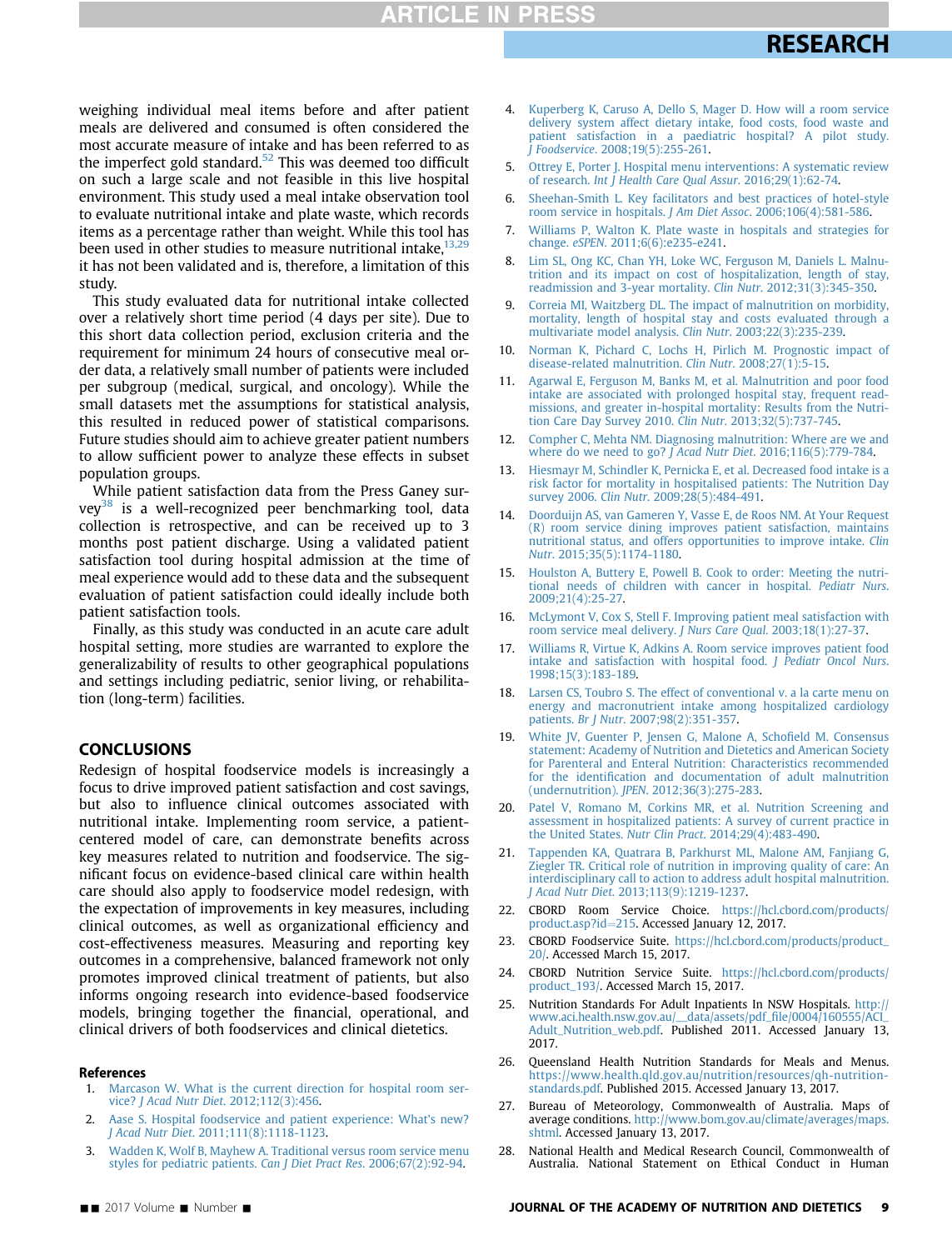weighing individual meal items before and after patient meals are delivered and consumed is often considered the most accurate measure of intake and has been referred to as the imperfect gold standard. $52$  This was deemed too difficult on such a large scale and not feasible in this live hospital environment. This study used a meal intake observation tool to evaluate nutritional intake and plate waste, which records items as a percentage rather than weight. While this tool has been used in other studies to measure nutritional intake, <sup>13,29</sup> it has not been validated and is, therefore, a limitation of this study.

This study evaluated data for nutritional intake collected over a relatively short time period (4 days per site). Due to this short data collection period, exclusion criteria and the requirement for minimum 24 hours of consecutive meal order data, a relatively small number of patients were included per subgroup (medical, surgical, and oncology). While the small datasets met the assumptions for statistical analysis, this resulted in reduced power of statistical comparisons. Future studies should aim to achieve greater patient numbers to allow sufficient power to analyze these effects in subset population groups.

While patient satisfaction data from the Press Ganey sur- $\text{veV}^{38}$  is a well-recognized peer benchmarking tool, data collection is retrospective, and can be received up to 3 months post patient discharge. Using a validated patient satisfaction tool during hospital admission at the time of meal experience would add to these data and the subsequent evaluation of patient satisfaction could ideally include both patient satisfaction tools.

Finally, as this study was conducted in an acute care adult hospital setting, more studies are warranted to explore the generalizability of results to other geographical populations and settings including pediatric, senior living, or rehabilitation (long-term) facilities.

#### **CONCLUSIONS**

**Redesign of hospital foodservice models is increasingly a** focus to drive improved patient satisfaction and cost savings, but also to influence clinical outcomes associated with nutritional intake. Implementing room service, a patientcentered model of care, can demonstrate benefits across key measures related to nutrition and foodservice. The significant focus on evidence-based clinical care within health care should also apply to foodservice model redesign, with the expectation of improvements in key measures, including clinical outcomes, as well as organizational efficiency and cost-effectiveness measures. Measuring and reporting key outcomes in a comprehensive, balanced framework not only promotes improved clinical treatment of patients, but also informs ongoing research into evidence-based foodservice models, bringing together the financial, operational, and clinical drivers of both foodservices and clinical dietetics.

#### References

- 1. Marcason W. What is the current direction for hospital room service? J Acad Nutr Diet. 2012;112(3):456.
- 2. Aase S. Hospital foodservice and patient experience: What's new? J Acad Nutr Diet. 2011;111(8):1118-1123.
- 3. Wadden K, Wolf B, Mayhew A. Traditional versus room service menu styles for pediatric patients. Can J Diet Pract Res. 2006;67(2):92-94.
- 4. Kuperberg K, Caruso A, Dello S, Mager D. How will a room service delivery system affect dietary intake, food costs, food waste and patient satisfaction in a paediatric hospital? A pilot study. J Foodservice. 2008;19(5):255-261.
- 5. Ottrey E, Porter J. Hospital menu interventions: A systematic review of research. Int J Health Care Qual Assur. 2016;29(1):62-74.
- 6. Sheehan-Smith L. Key facilitators and best practices of hotel-style room service in hospitals. J Am Diet Assoc. 2006;106(4):581-586.
- 7. Williams P, Walton K. Plate waste in hospitals and strategies for change. eSPEN. 2011;6(6):e235-e241.
- 8. Lim SL, Ong KC, Chan YH, Loke WC, Ferguson M, Daniels L. Malnutrition and its impact on cost of hospitalization, length of stay, readmission and 3-year mortality. Clin Nutr. 2012;31(3):345-350.
- 9. Correia MI, Waitzberg DL. The impact of malnutrition on morbidity, mortality, length of hospital stay and costs evaluated through a multivariate model analysis. Clin Nutr. 2003;22(3):235-239.
- 10. Norman K, Pichard C, Lochs H, Pirlich M. Prognostic impact of disease-related malnutrition. Clin Nutr. 2008;27(1):5-15.
- 11. Agarwal E, Ferguson M, Banks M, et al. Malnutrition and poor food intake are associated with prolonged hospital stay, frequent readmissions, and greater in-hospital mortality: Results from the Nutrition Care Day Survey 2010. Clin Nutr. 2013;32(5):737-745.
- 12. Compher C, Mehta NM. Diagnosing malnutrition: Where are we and where do we need to go? J Acad Nutr Diet. 2016;116(5):779-784.
- 13. Hiesmayr M, Schindler K, Pernicka E, et al. Decreased food intake is a risk factor for mortality in hospitalised patients: The Nutrition Day survey 2006. Clin Nutr. 2009;28(5):484-491.
- 14. Doorduijn AS, van Gameren Y, Vasse E, de Roos NM. At Your Request (R) room service dining improves patient satisfaction, maintains nutritional status, and offers opportunities to improve intake. Clin Nutr. 2015;35(5):1174-1180.
- 15. Houlston A, Buttery E, Powell B. Cook to order: Meeting the nutritional needs of children with cancer in hospital. Pediatr Nurs. 2009;21(4):25-27.
- 16. McLymont V, Cox S, Stell F. Improving patient meal satisfaction with room service meal delivery. J Nurs Care Qual. 2003;18(1):27-37.
- 17. Williams R, Virtue K, Adkins A. Room service improves patient food intake and satisfaction with hospital food. J Pediatr Oncol Nurs. 1998;15(3):183-189.
- 18. Larsen CS, Toubro S. The effect of conventional v. a la carte menu on energy and macronutrient intake among hospitalized cardiology patients. Br J Nutr. 2007;98(2):351-357.
- 19. White JV, Guenter P, Jensen G, Malone A, Schofield M. Consensus statement: Academy of Nutrition and Dietetics and American Society for Parenteral and Enteral Nutrition: Characteristics recommended for the identification and documentation of adult malnutrition (undernutrition). JPEN. 2012;36(3):275-283.
- 20. Patel V, Romano M, Corkins MR, et al. Nutrition Screening and assessment in hospitalized patients: A survey of current practice in the United States. Nutr Clin Pract. 2014;29(4):483-490.
- 21. Tappenden KA, Quatrara B, Parkhurst ML, Malone AM, Fanjiang G, Ziegler TR. Critical role of nutrition in improving quality of care: An interdisciplinary call to action to address adult hospital malnutrition. J Acad Nutr Diet. 2013;113(9):1219-1237.
- 22. CBORD Room Service Choice. https://hcl.cbord.com/products/ product.asp?id=215. Accessed January 12, 2017.
- 23. CBORD Foodservice Suite. https://hcl.cbord.com/products/product\_ 20/. Accessed March 15, 2017.
- 24. CBORD Nutrition Service Suite. https://hcl.cbord.com/products/ product\_193/. Accessed March 15, 2017.
- 25. Nutrition Standards For Adult Inpatients In NSW Hospitals. http:// www.aci.health.nsw.gov.au/\_\_data/assets/pdf\_file/0004/160555/ACI\_ Adult\_Nutrition\_web.pdf. Published 2011. Accessed January 13, 2017.
- Queensland Health Nutrition Standards for Meals and Menus. https://www.health.qld.gov.au/nutrition/resources/qh-nutritionstandards.pdf. Published 2015. Accessed January 13, 2017.
- 27. Bureau of Meteorology, Commonwealth of Australia. Maps of average conditions. http://www.bom.gov.au/climate/averages/maps. shtml. Accessed January 13, 2017.
- 28. National Health and Medical Research Council, Commonwealth of Australia. National Statement on Ethical Conduct in Human